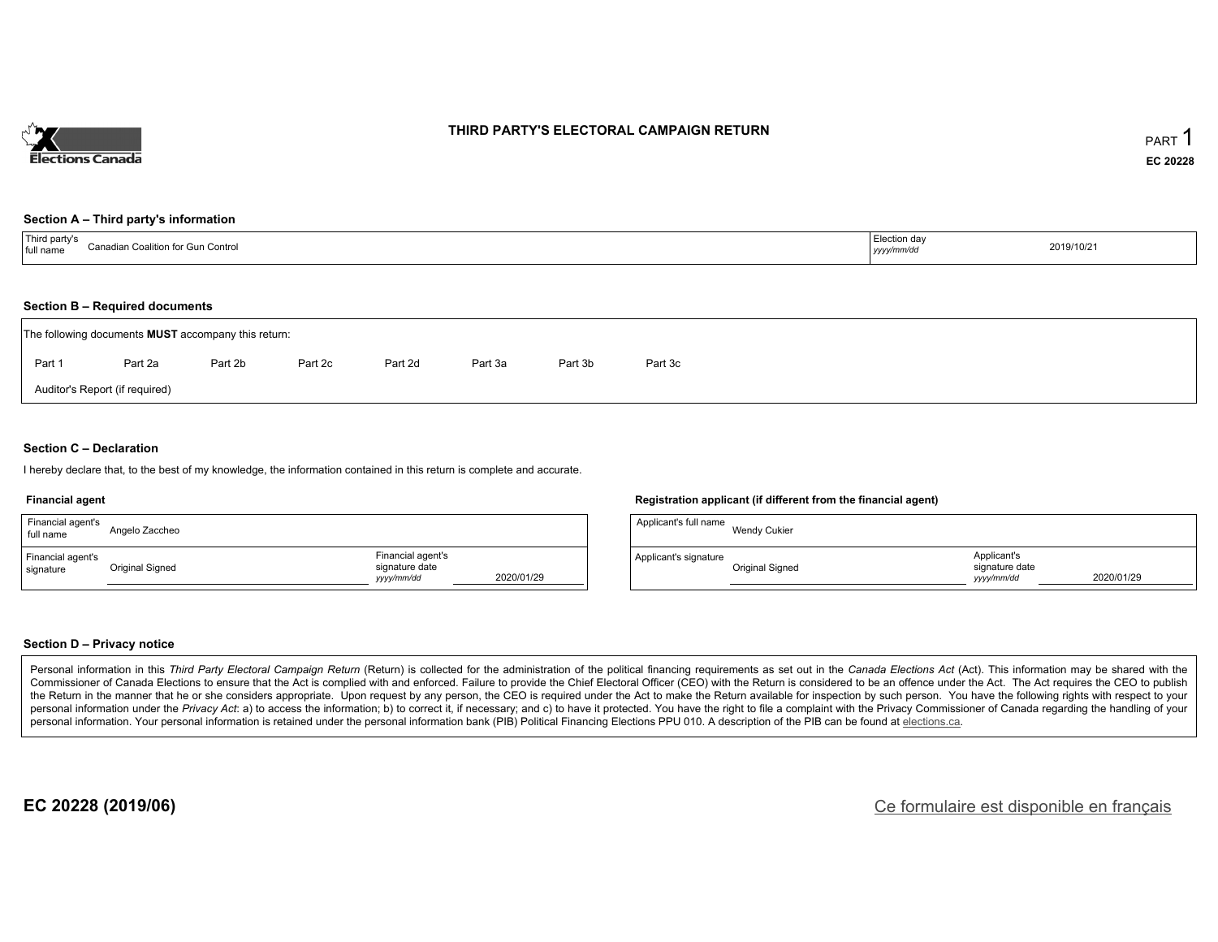

### **THIRD PARTY'S ELECTORAL CAMPAIGN RETURN**

#### **Section A – Third party's information**

| <sup>1</sup> Third party's<br>Canadian ⊾.<br>n Coalition for Gun Control_<br>full name | ∟ <sub>r</sub> ection dav<br>$\blacksquare$<br>yyyy/mm/dd | 2019/10/21 |
|----------------------------------------------------------------------------------------|-----------------------------------------------------------|------------|
|----------------------------------------------------------------------------------------|-----------------------------------------------------------|------------|

### **Section B – Required documents**

|        | The following documents <b>MUST</b> accompany this return: |         |         |         |         |         |         |
|--------|------------------------------------------------------------|---------|---------|---------|---------|---------|---------|
| Part 1 | Part 2a                                                    | Part 2b | Part 2c | Part 2d | Part 3a | Part 3b | Part 3c |
|        | Auditor's Report (if required)                             |         |         |         |         |         |         |

### **Section C – Declaration**

I hereby declare that, to the best of my knowledge, the information contained in this return is complete and accurate.

#### **Financial agent**

| Financial agent's<br>full name | Angelo Zaccheo  |                                                                 | Applicant's full name | Wei        |
|--------------------------------|-----------------|-----------------------------------------------------------------|-----------------------|------------|
| Financial agent's<br>signature | Original Signed | Financial agent's<br>signature date<br>2020/01/29<br>yyyy/mm/dd | Applicant's signature | Orio<br>__ |

### **Registration applicant (if different from the financial agent)**

| Applicant's full name | Wendy Cukier    |                                             |            |
|-----------------------|-----------------|---------------------------------------------|------------|
| Applicant's signature | Original Signed | Applicant's<br>signature date<br>vyyy/mm/dd | 2020/01/29 |

#### **Section D – Privacy notice**

Personal information in this Third Party Electoral Campaign Return (Return) is collected for the administration of the political financing requirements as set out in the Canada Elections Act (Act). This information may be Commissioner of Canada Elections to ensure that the Act is complied with and enforced. Failure to provide the Chief Electoral Officer (CEO) with the Return is considered to be an offence under the Act. The Act requires the the Return in the manner that he or she considers appropriate. Upon request by any person, the CEO is required under the Act to make the Return available for inspection by such person. You have the following rights with re personal information under the Privacy Act: a) to access the information; b) to correct it, if necessary; and c) to have it protected. You have the right to file a complaint with the Privacy Commissioner of Canada regardin personal information. Your personal information is retained under the personal information bank (PIB) Political Financing Elections PPU 010. A description of the PIB can be found at elections.ca.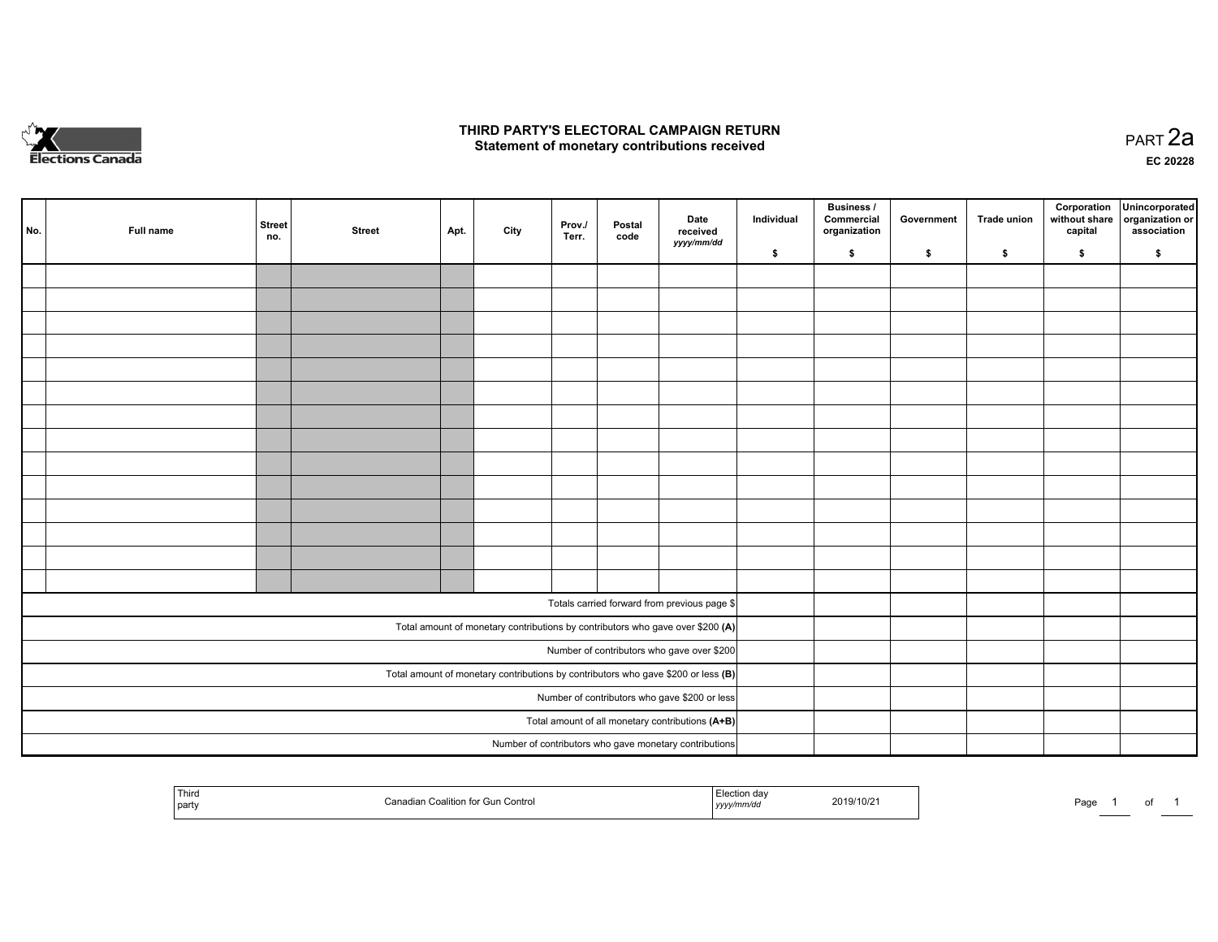

### **THIRD PARTY'S ELECTORAL CAMPAIGN RETURN HIRD PARTY'S ELECTORAL CAMPAIGN RETURN<br>Statement of monetary contributions received PART 2a PART 2a**

**EC 20228**

| No. | Full name                                                                           | <b>Street</b><br>no.                             | <b>Street</b> | Apt. | City | Prov./<br>Terr. | Postal<br>code | Date<br>received<br>yyyy/mm/dd                                                 | Individual | Business /<br>Commercial<br>organization | Government | Trade union | Corporation<br>without share<br>capital | Unincorporated<br>organization or<br>association |
|-----|-------------------------------------------------------------------------------------|--------------------------------------------------|---------------|------|------|-----------------|----------------|--------------------------------------------------------------------------------|------------|------------------------------------------|------------|-------------|-----------------------------------------|--------------------------------------------------|
|     |                                                                                     |                                                  |               |      |      |                 |                |                                                                                | \$         | \$                                       | \$         | \$          | \$                                      | \$                                               |
|     |                                                                                     |                                                  |               |      |      |                 |                |                                                                                |            |                                          |            |             |                                         |                                                  |
|     |                                                                                     |                                                  |               |      |      |                 |                |                                                                                |            |                                          |            |             |                                         |                                                  |
|     |                                                                                     |                                                  |               |      |      |                 |                |                                                                                |            |                                          |            |             |                                         |                                                  |
|     |                                                                                     |                                                  |               |      |      |                 |                |                                                                                |            |                                          |            |             |                                         |                                                  |
|     |                                                                                     |                                                  |               |      |      |                 |                |                                                                                |            |                                          |            |             |                                         |                                                  |
|     |                                                                                     |                                                  |               |      |      |                 |                |                                                                                |            |                                          |            |             |                                         |                                                  |
|     |                                                                                     |                                                  |               |      |      |                 |                |                                                                                |            |                                          |            |             |                                         |                                                  |
|     |                                                                                     |                                                  |               |      |      |                 |                |                                                                                |            |                                          |            |             |                                         |                                                  |
|     |                                                                                     |                                                  |               |      |      |                 |                |                                                                                |            |                                          |            |             |                                         |                                                  |
|     |                                                                                     |                                                  |               |      |      |                 |                |                                                                                |            |                                          |            |             |                                         |                                                  |
|     |                                                                                     |                                                  |               |      |      |                 |                |                                                                                |            |                                          |            |             |                                         |                                                  |
|     |                                                                                     |                                                  |               |      |      |                 |                |                                                                                |            |                                          |            |             |                                         |                                                  |
|     |                                                                                     |                                                  |               |      |      |                 |                |                                                                                |            |                                          |            |             |                                         |                                                  |
|     |                                                                                     |                                                  |               |      |      |                 |                |                                                                                |            |                                          |            |             |                                         |                                                  |
|     |                                                                                     |                                                  |               |      |      |                 |                |                                                                                |            |                                          |            |             |                                         |                                                  |
|     |                                                                                     |                                                  |               |      |      |                 |                | Totals carried forward from previous page \$                                   |            |                                          |            |             |                                         |                                                  |
|     |                                                                                     |                                                  |               |      |      |                 |                | Total amount of monetary contributions by contributors who gave over \$200 (A) |            |                                          |            |             |                                         |                                                  |
|     |                                                                                     |                                                  |               |      |      |                 |                | Number of contributors who gave over \$200                                     |            |                                          |            |             |                                         |                                                  |
|     | Total amount of monetary contributions by contributors who gave \$200 or less $(B)$ |                                                  |               |      |      |                 |                |                                                                                |            |                                          |            |             |                                         |                                                  |
|     |                                                                                     | Number of contributors who gave \$200 or less    |               |      |      |                 |                |                                                                                |            |                                          |            |             |                                         |                                                  |
|     |                                                                                     | Total amount of all monetary contributions (A+B) |               |      |      |                 |                |                                                                                |            |                                          |            |             |                                         |                                                  |
|     |                                                                                     |                                                  |               |      |      |                 |                | Number of contributors who gave monetary contributions                         |            |                                          |            |             |                                         |                                                  |
|     |                                                                                     |                                                  |               |      |      |                 |                |                                                                                |            |                                          |            |             |                                         |                                                  |

| Third<br>l partv | iadian Coalition for Gun Control، | Election dav<br>.<br>yyyy/mm/dd | 2019/10/2 | Page | ______ | . |  |
|------------------|-----------------------------------|---------------------------------|-----------|------|--------|---|--|
|------------------|-----------------------------------|---------------------------------|-----------|------|--------|---|--|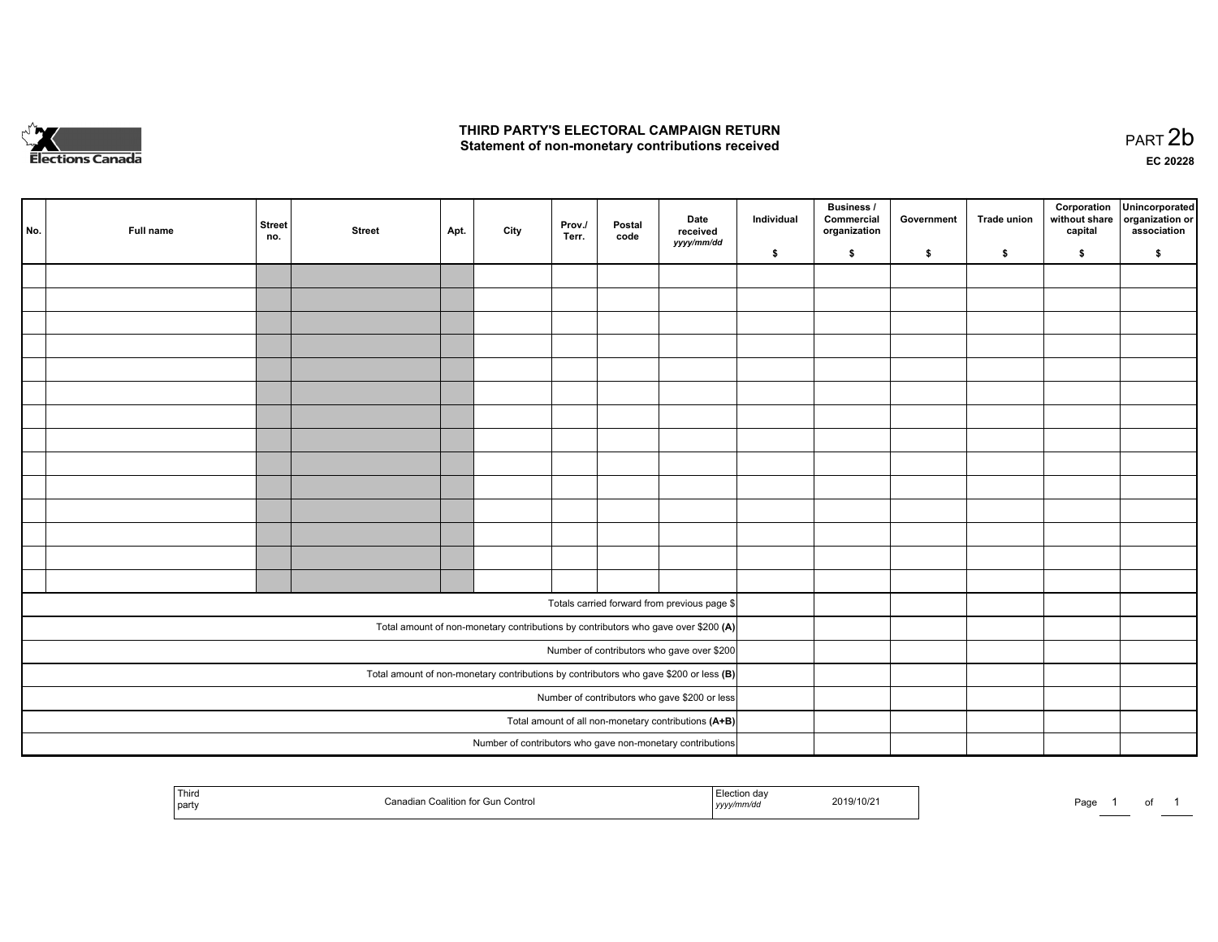

## **THIRD PARTY'S ELECTORAL CAMPAIGN RETURN**  THIRD PARTY'S ELECTORAL CAMPAIGN RETURN<br>Statement of non-monetary contributions received

of 1

| No. | Full name | Street<br>no.                                        | <b>Street</b> | Apt. | City | Prov./<br>Terr. | Postal<br>code | Date<br>received<br>yyyy/mm/dd                                                          | Individual | <b>Business /</b><br>Commercial<br>organization | Government | Trade union | Corporation<br>without share<br>capital | Unincorporated<br>organization or<br>association |
|-----|-----------|------------------------------------------------------|---------------|------|------|-----------------|----------------|-----------------------------------------------------------------------------------------|------------|-------------------------------------------------|------------|-------------|-----------------------------------------|--------------------------------------------------|
|     |           |                                                      |               |      |      |                 |                |                                                                                         | \$         | \$                                              | \$         | \$          | \$                                      | \$                                               |
|     |           |                                                      |               |      |      |                 |                |                                                                                         |            |                                                 |            |             |                                         |                                                  |
|     |           |                                                      |               |      |      |                 |                |                                                                                         |            |                                                 |            |             |                                         |                                                  |
|     |           |                                                      |               |      |      |                 |                |                                                                                         |            |                                                 |            |             |                                         |                                                  |
|     |           |                                                      |               |      |      |                 |                |                                                                                         |            |                                                 |            |             |                                         |                                                  |
|     |           |                                                      |               |      |      |                 |                |                                                                                         |            |                                                 |            |             |                                         |                                                  |
|     |           |                                                      |               |      |      |                 |                |                                                                                         |            |                                                 |            |             |                                         |                                                  |
|     |           |                                                      |               |      |      |                 |                |                                                                                         |            |                                                 |            |             |                                         |                                                  |
|     |           |                                                      |               |      |      |                 |                |                                                                                         |            |                                                 |            |             |                                         |                                                  |
|     |           |                                                      |               |      |      |                 |                |                                                                                         |            |                                                 |            |             |                                         |                                                  |
|     |           |                                                      |               |      |      |                 |                |                                                                                         |            |                                                 |            |             |                                         |                                                  |
|     |           |                                                      |               |      |      |                 |                |                                                                                         |            |                                                 |            |             |                                         |                                                  |
|     |           |                                                      |               |      |      |                 |                |                                                                                         |            |                                                 |            |             |                                         |                                                  |
|     |           |                                                      |               |      |      |                 |                |                                                                                         |            |                                                 |            |             |                                         |                                                  |
|     |           |                                                      |               |      |      |                 |                |                                                                                         |            |                                                 |            |             |                                         |                                                  |
|     |           |                                                      |               |      |      |                 |                |                                                                                         |            |                                                 |            |             |                                         |                                                  |
|     |           |                                                      |               |      |      |                 |                | Totals carried forward from previous page \$                                            |            |                                                 |            |             |                                         |                                                  |
|     |           |                                                      |               |      |      |                 |                | Total amount of non-monetary contributions by contributors who gave over \$200 (A)      |            |                                                 |            |             |                                         |                                                  |
|     |           |                                                      |               |      |      |                 |                | Number of contributors who gave over \$200                                              |            |                                                 |            |             |                                         |                                                  |
|     |           |                                                      |               |      |      |                 |                | Total amount of non-monetary contributions by contributors who gave \$200 or less $(B)$ |            |                                                 |            |             |                                         |                                                  |
|     |           | Number of contributors who gave \$200 or less        |               |      |      |                 |                |                                                                                         |            |                                                 |            |             |                                         |                                                  |
|     |           | Total amount of all non-monetary contributions (A+B) |               |      |      |                 |                |                                                                                         |            |                                                 |            |             |                                         |                                                  |
|     |           |                                                      |               |      |      |                 |                | Number of contributors who gave non-monetary contributions                              |            |                                                 |            |             |                                         |                                                  |
|     |           |                                                      |               |      |      |                 |                |                                                                                         |            |                                                 |            |             |                                         |                                                  |

| Third<br>party | Coalition for Gun<br><b>Pun Control</b><br>`anadiai | *on dav<br>неслог<br>2019/10/21<br>.<br>, , , , , , , | ۔ صدر<br>ayt:<br>and the control of the |
|----------------|-----------------------------------------------------|-------------------------------------------------------|-----------------------------------------|
|----------------|-----------------------------------------------------|-------------------------------------------------------|-----------------------------------------|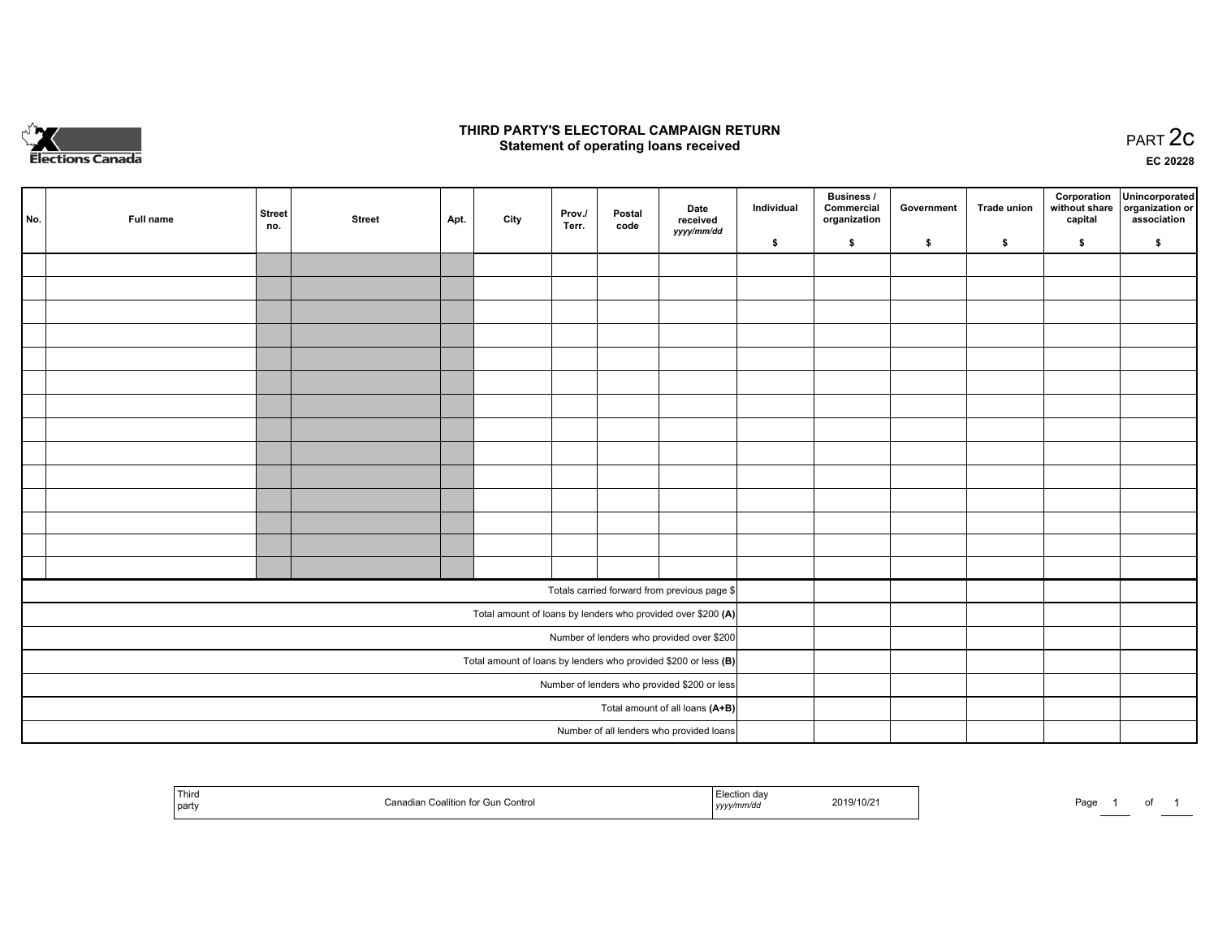

## **THIRD PARTY'S ELECTORAL CAMPAIGN RETURN STATE:** PRACT OF OPPRESS TO PART 2C STATE STATE STATE STATE STATE STATE STATE STATE STATE STATE STATE STATE STA<br>PART 2C Statement of operating loans received

**EC 20228**

| No. | Full name | <b>Street</b><br>no.            | <b>Street</b> | Apt. | City | Prov./<br>Terr. | Postal<br>code | Date<br>received                                                | Individual | <b>Business /</b><br>Commercial<br>organization | Government | <b>Trade union</b> | Corporation<br>capital | Unincorporated<br>without share   organization or<br>association |
|-----|-----------|---------------------------------|---------------|------|------|-----------------|----------------|-----------------------------------------------------------------|------------|-------------------------------------------------|------------|--------------------|------------------------|------------------------------------------------------------------|
|     |           |                                 |               |      |      |                 |                | yyyy/mm/dd                                                      | \$         | \$                                              | \$         | \$                 | \$                     | \$                                                               |
|     |           |                                 |               |      |      |                 |                |                                                                 |            |                                                 |            |                    |                        |                                                                  |
|     |           |                                 |               |      |      |                 |                |                                                                 |            |                                                 |            |                    |                        |                                                                  |
|     |           |                                 |               |      |      |                 |                |                                                                 |            |                                                 |            |                    |                        |                                                                  |
|     |           |                                 |               |      |      |                 |                |                                                                 |            |                                                 |            |                    |                        |                                                                  |
|     |           |                                 |               |      |      |                 |                |                                                                 |            |                                                 |            |                    |                        |                                                                  |
|     |           |                                 |               |      |      |                 |                |                                                                 |            |                                                 |            |                    |                        |                                                                  |
|     |           |                                 |               |      |      |                 |                |                                                                 |            |                                                 |            |                    |                        |                                                                  |
|     |           |                                 |               |      |      |                 |                |                                                                 |            |                                                 |            |                    |                        |                                                                  |
|     |           |                                 |               |      |      |                 |                |                                                                 |            |                                                 |            |                    |                        |                                                                  |
|     |           |                                 |               |      |      |                 |                |                                                                 |            |                                                 |            |                    |                        |                                                                  |
|     |           |                                 |               |      |      |                 |                |                                                                 |            |                                                 |            |                    |                        |                                                                  |
|     |           |                                 |               |      |      |                 |                |                                                                 |            |                                                 |            |                    |                        |                                                                  |
|     |           |                                 |               |      |      |                 |                |                                                                 |            |                                                 |            |                    |                        |                                                                  |
|     |           |                                 |               |      |      |                 |                |                                                                 |            |                                                 |            |                    |                        |                                                                  |
|     |           |                                 |               |      |      |                 |                | Totals carried forward from previous page \$                    |            |                                                 |            |                    |                        |                                                                  |
|     |           |                                 |               |      |      |                 |                | Total amount of loans by lenders who provided over \$200 (A)    |            |                                                 |            |                    |                        |                                                                  |
|     |           |                                 |               |      |      |                 |                | Number of lenders who provided over \$200                       |            |                                                 |            |                    |                        |                                                                  |
|     |           |                                 |               |      |      |                 |                | Total amount of loans by lenders who provided \$200 or less (B) |            |                                                 |            |                    |                        |                                                                  |
|     |           |                                 |               |      |      |                 |                | Number of lenders who provided \$200 or less                    |            |                                                 |            |                    |                        |                                                                  |
|     |           | Total amount of all loans (A+B) |               |      |      |                 |                |                                                                 |            |                                                 |            |                    |                        |                                                                  |
|     |           |                                 |               |      |      |                 |                | Number of all lenders who provided loans                        |            |                                                 |            |                    |                        |                                                                  |

| <sup>l</sup> Third<br>l partv | adian Coalition for Gun Control<br>$-$ | ,,,,,,,,<br>,,,,, | 9/10/2 | Page |  |
|-------------------------------|----------------------------------------|-------------------|--------|------|--|
|-------------------------------|----------------------------------------|-------------------|--------|------|--|

of 1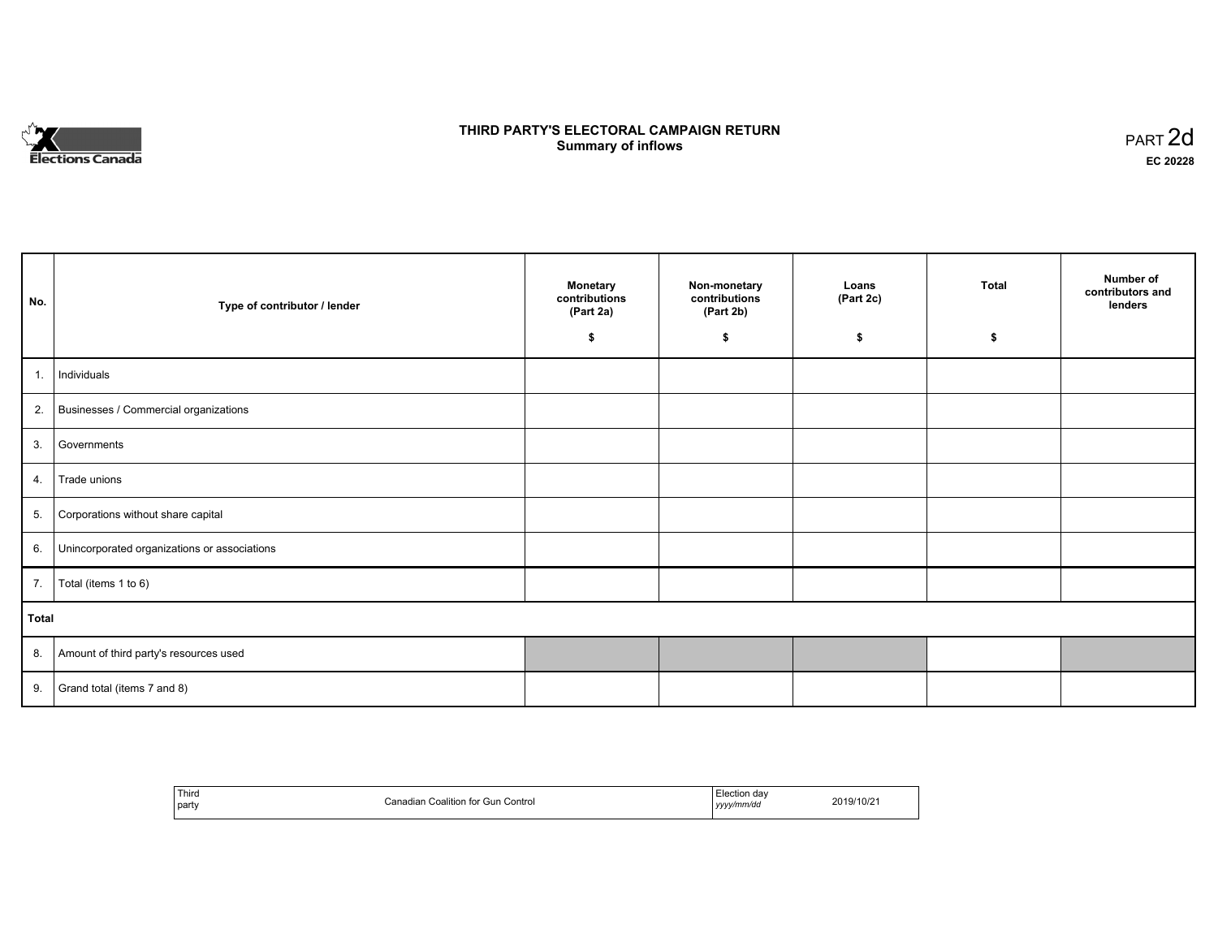

## **THIRD PARTY'S ELECTORAL CAMPAIGN RETURN S** ELECTORAL CAMPAIGN RETURN<br>Summary of inflows PART 2d

| No.   | Type of contributor / lender                    | <b>Monetary</b><br>contributions<br>(Part 2a) | Non-monetary<br>contributions<br>(Part 2b) | Loans<br>(Part 2c) | <b>Total</b> | Number of<br>contributors and<br>lenders |
|-------|-------------------------------------------------|-----------------------------------------------|--------------------------------------------|--------------------|--------------|------------------------------------------|
|       |                                                 | \$                                            | \$                                         | \$                 | \$           |                                          |
| 1.    | Individuals                                     |                                               |                                            |                    |              |                                          |
|       | 2. Businesses / Commercial organizations        |                                               |                                            |                    |              |                                          |
| 3.    | Governments                                     |                                               |                                            |                    |              |                                          |
|       | 4. Trade unions                                 |                                               |                                            |                    |              |                                          |
| 5.    | Corporations without share capital              |                                               |                                            |                    |              |                                          |
|       | 6. Unincorporated organizations or associations |                                               |                                            |                    |              |                                          |
|       | 7.   Total (items 1 to 6)                       |                                               |                                            |                    |              |                                          |
| Total |                                                 |                                               |                                            |                    |              |                                          |
|       | 8. Amount of third party's resources used       |                                               |                                            |                    |              |                                          |
|       | 9. Grand total (items $7$ and $8$ )             |                                               |                                            |                    |              |                                          |

| Third<br>party | Coalition for Gun Control<br>∴anad<br>ua | Election dav<br>yyyy/mm/da<br>,,,, | 2019/10/2 |
|----------------|------------------------------------------|------------------------------------|-----------|
|----------------|------------------------------------------|------------------------------------|-----------|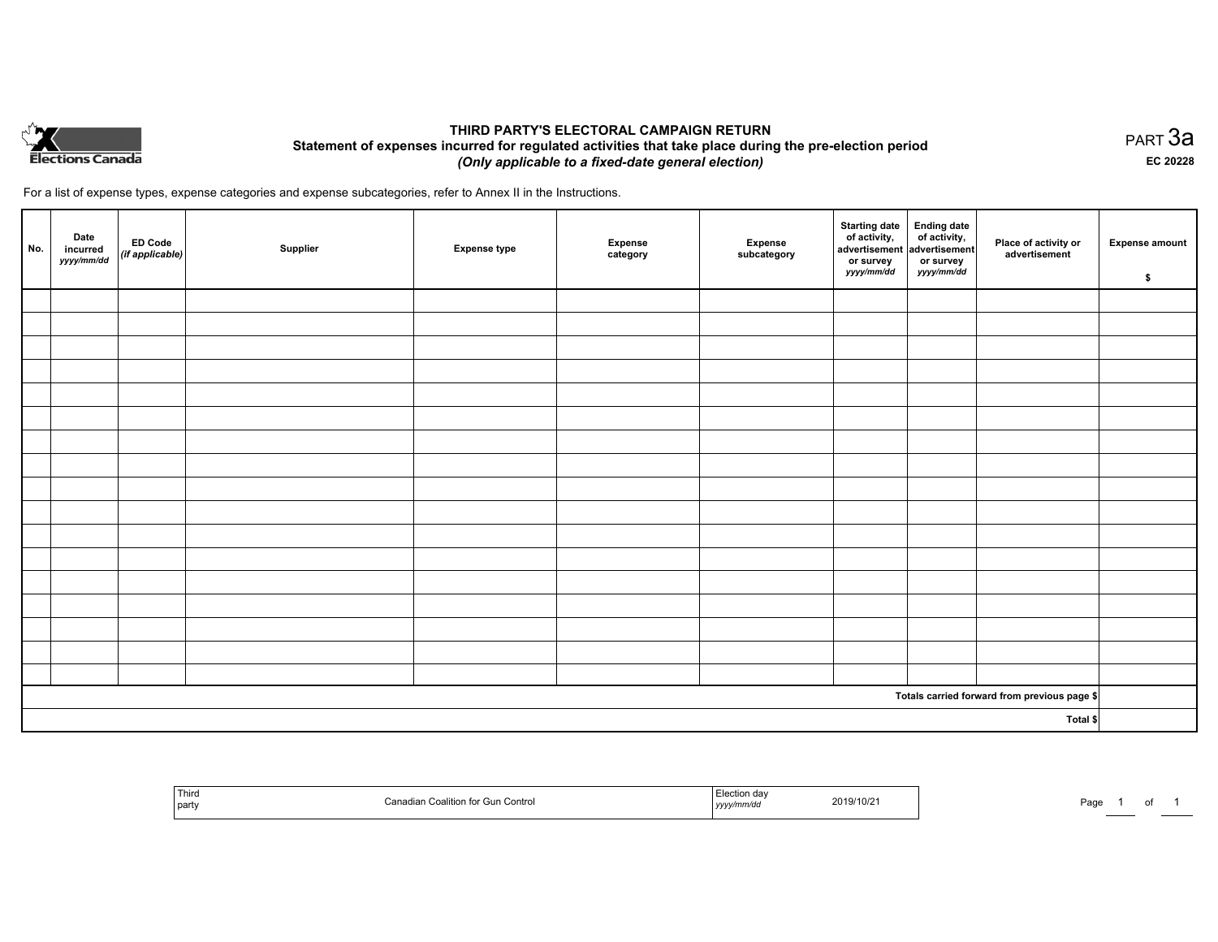

## **THIRD PARTY'S ELECTORAL CAMPAIGN RETURN Statement of expenses incurred for regulated activities that take place during the pre-election period**  *(Only applicable to a fixed-date general election)*

For a list of expense types, expense categories and expense subcategories, refer to Annex II in the Instructions.

| No.      | Date<br>incurred<br>yyyy/mm/dd | <b>ED Code</b><br>(if applicable) | Supplier | <b>Expense type</b> | Expense<br>category | Expense<br>subcategory | <b>Starting date</b><br>of activity,<br>advertisement<br>or survey<br>yyyy/mm/dd | Ending date<br>of activity,<br>advertisement<br>or survey<br>yyyy/mm/dd | Place of activity or<br>advertisement        | <b>Expense amount</b><br>\$ |
|----------|--------------------------------|-----------------------------------|----------|---------------------|---------------------|------------------------|----------------------------------------------------------------------------------|-------------------------------------------------------------------------|----------------------------------------------|-----------------------------|
|          |                                |                                   |          |                     |                     |                        |                                                                                  |                                                                         |                                              |                             |
|          |                                |                                   |          |                     |                     |                        |                                                                                  |                                                                         |                                              |                             |
|          |                                |                                   |          |                     |                     |                        |                                                                                  |                                                                         |                                              |                             |
|          |                                |                                   |          |                     |                     |                        |                                                                                  |                                                                         |                                              |                             |
|          |                                |                                   |          |                     |                     |                        |                                                                                  |                                                                         |                                              |                             |
|          |                                |                                   |          |                     |                     |                        |                                                                                  |                                                                         |                                              |                             |
|          |                                |                                   |          |                     |                     |                        |                                                                                  |                                                                         |                                              |                             |
|          |                                |                                   |          |                     |                     |                        |                                                                                  |                                                                         |                                              |                             |
|          |                                |                                   |          |                     |                     |                        |                                                                                  |                                                                         |                                              |                             |
|          |                                |                                   |          |                     |                     |                        |                                                                                  |                                                                         |                                              |                             |
|          |                                |                                   |          |                     |                     |                        |                                                                                  |                                                                         |                                              |                             |
|          |                                |                                   |          |                     |                     |                        |                                                                                  |                                                                         |                                              |                             |
|          |                                |                                   |          |                     |                     |                        |                                                                                  |                                                                         |                                              |                             |
|          |                                |                                   |          |                     |                     |                        |                                                                                  |                                                                         |                                              |                             |
|          |                                |                                   |          |                     |                     |                        |                                                                                  |                                                                         |                                              |                             |
|          |                                |                                   |          |                     |                     |                        |                                                                                  |                                                                         |                                              |                             |
|          |                                |                                   |          |                     |                     |                        |                                                                                  |                                                                         |                                              |                             |
|          |                                |                                   |          |                     |                     |                        |                                                                                  |                                                                         | Totals carried forward from previous page \$ |                             |
| Total \$ |                                |                                   |          |                     |                     |                        |                                                                                  |                                                                         |                                              |                             |

| Third<br>  party | Contro<br>1.711 | ı dav<br>2019/10/2<br>unvar.<br>the contract of the contract of the contract of the contract of the contract of<br>,,,,, | Door<br>ʻay |
|------------------|-----------------|--------------------------------------------------------------------------------------------------------------------------|-------------|
|------------------|-----------------|--------------------------------------------------------------------------------------------------------------------------|-------------|

PART 3a **EC 20228**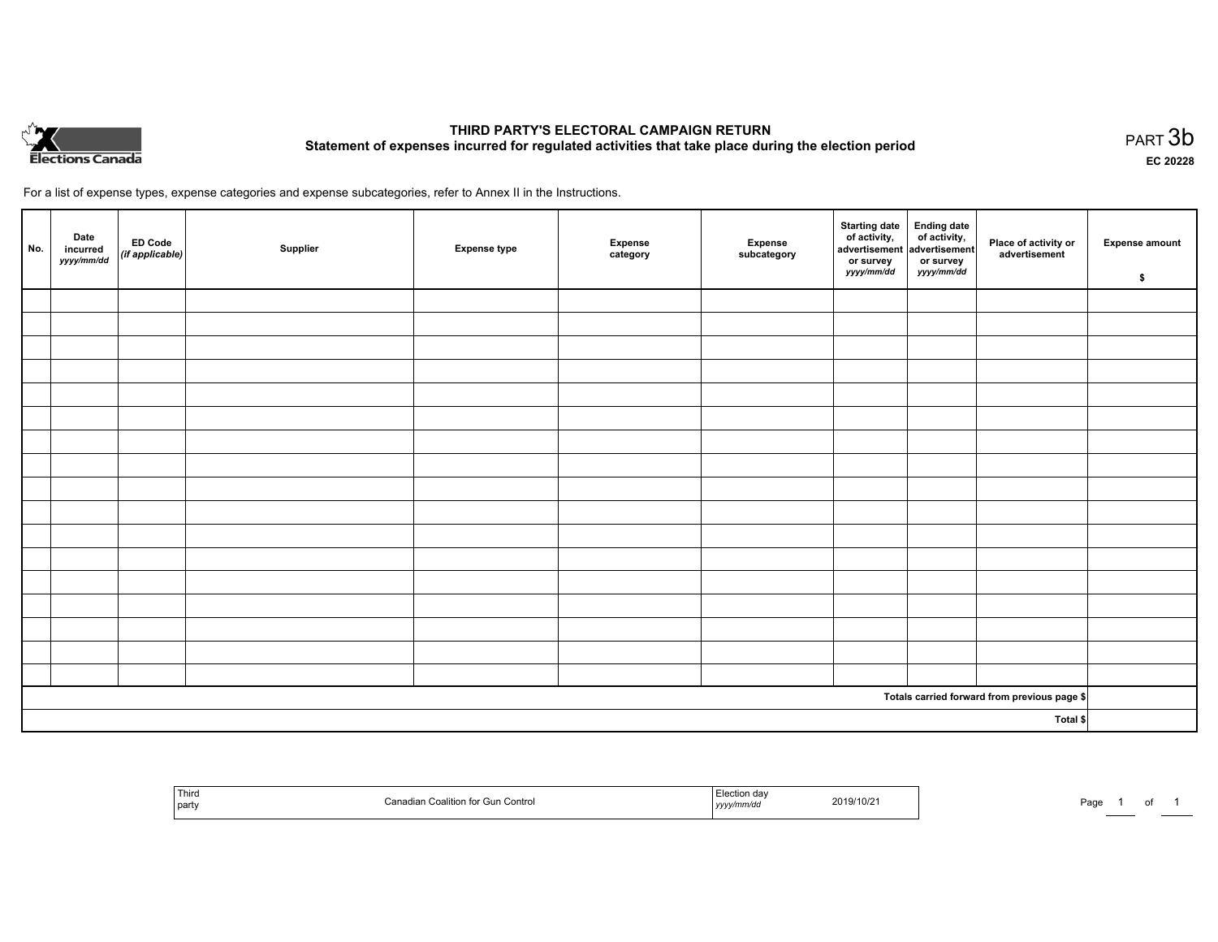

# **THIRD PARTY'S ELECTORAL CAMPAIGN RETURN Statement of expenses incurred for regulated activities that take place during the election period**<br>PART  $3\mathsf{b}$

**EC 20228**

For a list of expense types, expense categories and expense subcategories, refer to Annex II in the Instructions.

| No.                                          | Date<br>incurred<br>yyyy/mm/dd | ED Code<br>(if applicable) | Supplier | <b>Expense type</b> | Expense<br>category | Expense<br>subcategory | Starting date Ending date<br>of activity, of activity,<br>advertisement advertisement<br>or survey<br>yyyy/mm/dd | or survey<br>yyyy/mm/dd | Place of activity or<br>advertisement | <b>Expense amount</b><br>\$ |
|----------------------------------------------|--------------------------------|----------------------------|----------|---------------------|---------------------|------------------------|------------------------------------------------------------------------------------------------------------------|-------------------------|---------------------------------------|-----------------------------|
|                                              |                                |                            |          |                     |                     |                        |                                                                                                                  |                         |                                       |                             |
|                                              |                                |                            |          |                     |                     |                        |                                                                                                                  |                         |                                       |                             |
|                                              |                                |                            |          |                     |                     |                        |                                                                                                                  |                         |                                       |                             |
|                                              |                                |                            |          |                     |                     |                        |                                                                                                                  |                         |                                       |                             |
|                                              |                                |                            |          |                     |                     |                        |                                                                                                                  |                         |                                       |                             |
|                                              |                                |                            |          |                     |                     |                        |                                                                                                                  |                         |                                       |                             |
|                                              |                                |                            |          |                     |                     |                        |                                                                                                                  |                         |                                       |                             |
|                                              |                                |                            |          |                     |                     |                        |                                                                                                                  |                         |                                       |                             |
|                                              |                                |                            |          |                     |                     |                        |                                                                                                                  |                         |                                       |                             |
|                                              |                                |                            |          |                     |                     |                        |                                                                                                                  |                         |                                       |                             |
|                                              |                                |                            |          |                     |                     |                        |                                                                                                                  |                         |                                       |                             |
|                                              |                                |                            |          |                     |                     |                        |                                                                                                                  |                         |                                       |                             |
|                                              |                                |                            |          |                     |                     |                        |                                                                                                                  |                         |                                       |                             |
|                                              |                                |                            |          |                     |                     |                        |                                                                                                                  |                         |                                       |                             |
|                                              |                                |                            |          |                     |                     |                        |                                                                                                                  |                         |                                       |                             |
|                                              |                                |                            |          |                     |                     |                        |                                                                                                                  |                         |                                       |                             |
|                                              |                                |                            |          |                     |                     |                        |                                                                                                                  |                         |                                       |                             |
| Totals carried forward from previous page \$ |                                |                            |          |                     |                     |                        |                                                                                                                  |                         |                                       |                             |
| Total \$                                     |                                |                            |          |                     |                     |                        |                                                                                                                  |                         |                                       |                             |

| Third<br>≏oalition for Gun Control<br>Coalition<br>  party | Election dav<br>2019/10/21<br>,,,,,,,<br>, <i>y y y .</i> | Page |  |  |
|------------------------------------------------------------|-----------------------------------------------------------|------|--|--|
|------------------------------------------------------------|-----------------------------------------------------------|------|--|--|